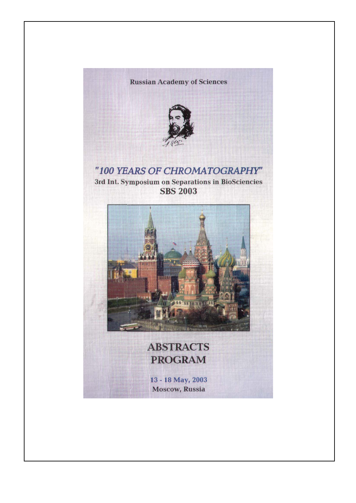#### **Russian Academy of Sciences**



## "100 YEARS OF CHROMATOGRAPHY"

3rd Int. Symposium on Separations in BioSciencies **SBS 2003** 



# **ABSTRACTS PROGRAM**

13 - 18 May, 2003 **Moscow, Russia**